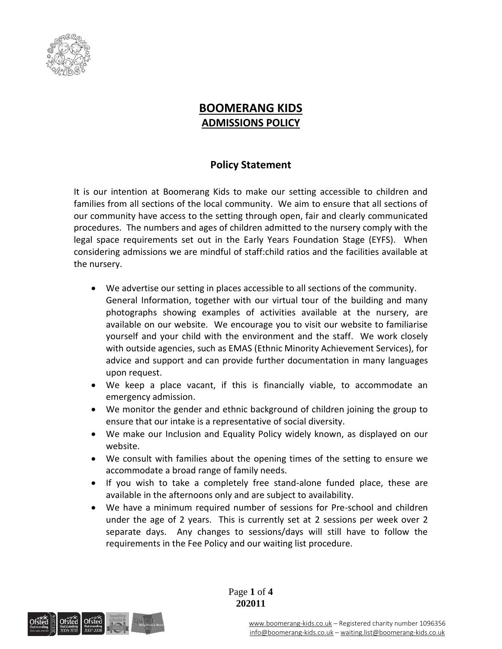

## **BOOMERANG KIDS ADMISSIONS POLICY**

## **Policy Statement**

It is our intention at Boomerang Kids to make our setting accessible to children and families from all sections of the local community. We aim to ensure that all sections of our community have access to the setting through open, fair and clearly communicated procedures. The numbers and ages of children admitted to the nursery comply with the legal space requirements set out in the Early Years Foundation Stage (EYFS). When considering admissions we are mindful of staff:child ratios and the facilities available at the nursery.

- We advertise our setting in places accessible to all sections of the community. General Information, together with our virtual tour of the building and many photographs showing examples of activities available at the nursery, are available on our website. We encourage you to visit our website to familiarise yourself and your child with the environment and the staff. We work closely with outside agencies, such as EMAS (Ethnic Minority Achievement Services), for advice and support and can provide further documentation in many languages upon request.
- We keep a place vacant, if this is financially viable, to accommodate an emergency admission.
- We monitor the gender and ethnic background of children joining the group to ensure that our intake is a representative of social diversity.
- We make our Inclusion and Equality Policy widely known, as displayed on our website.
- We consult with families about the opening times of the setting to ensure we accommodate a broad range of family needs.
- If you wish to take a completely free stand-alone funded place, these are available in the afternoons only and are subject to availability.
- We have a minimum required number of sessions for Pre-school and children under the age of 2 years. This is currently set at 2 sessions per week over 2 separate days. Any changes to sessions/days will still have to follow the requirements in the Fee Policy and our waiting list procedure.

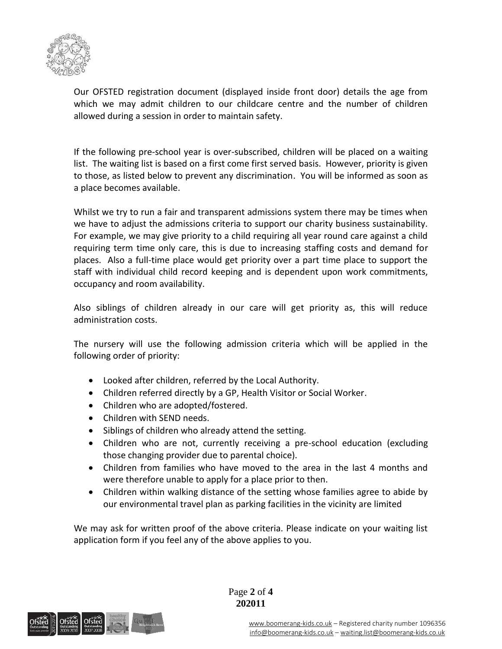

Our OFSTED registration document (displayed inside front door) details the age from which we may admit children to our childcare centre and the number of children allowed during a session in order to maintain safety.

If the following pre-school year is over-subscribed, children will be placed on a waiting list. The waiting list is based on a first come first served basis. However, priority is given to those, as listed below to prevent any discrimination. You will be informed as soon as a place becomes available.

Whilst we try to run a fair and transparent admissions system there may be times when we have to adjust the admissions criteria to support our charity business sustainability. For example, we may give priority to a child requiring all year round care against a child requiring term time only care, this is due to increasing staffing costs and demand for places. Also a full-time place would get priority over a part time place to support the staff with individual child record keeping and is dependent upon work commitments, occupancy and room availability.

Also siblings of children already in our care will get priority as, this will reduce administration costs.

The nursery will use the following admission criteria which will be applied in the following order of priority:

- Looked after children, referred by the Local Authority.
- Children referred directly by a GP, Health Visitor or Social Worker.
- Children who are adopted/fostered.
- Children with SEND needs.
- Siblings of children who already attend the setting.
- Children who are not, currently receiving a pre-school education (excluding those changing provider due to parental choice).
- Children from families who have moved to the area in the last 4 months and were therefore unable to apply for a place prior to then.
- Children within walking distance of the setting whose families agree to abide by our environmental travel plan as parking facilities in the vicinity are limited

We may ask for written proof of the above criteria. Please indicate on your waiting list application form if you feel any of the above applies to you.

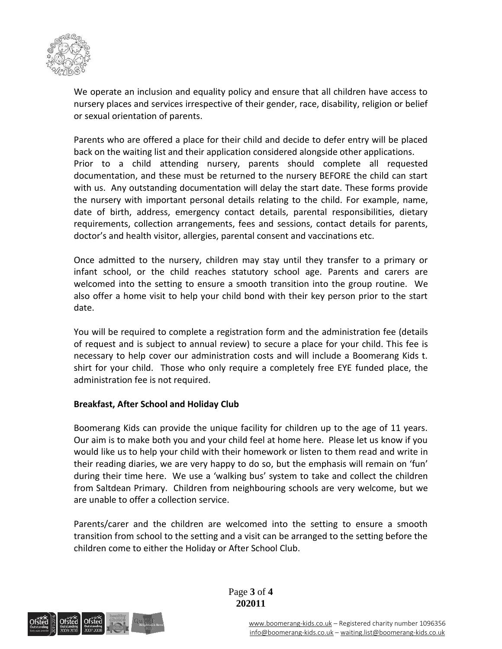

We operate an inclusion and equality policy and ensure that all children have access to nursery places and services irrespective of their gender, race, disability, religion or belief or sexual orientation of parents.

Parents who are offered a place for their child and decide to defer entry will be placed back on the waiting list and their application considered alongside other applications. Prior to a child attending nursery, parents should complete all requested documentation, and these must be returned to the nursery BEFORE the child can start with us. Any outstanding documentation will delay the start date. These forms provide the nursery with important personal details relating to the child. For example, name, date of birth, address, emergency contact details, parental responsibilities, dietary requirements, collection arrangements, fees and sessions, contact details for parents, doctor's and health visitor, allergies, parental consent and vaccinations etc.

Once admitted to the nursery, children may stay until they transfer to a primary or infant school, or the child reaches statutory school age. Parents and carers are welcomed into the setting to ensure a smooth transition into the group routine. We also offer a home visit to help your child bond with their key person prior to the start date.

You will be required to complete a registration form and the administration fee (details of request and is subject to annual review) to secure a place for your child. This fee is necessary to help cover our administration costs and will include a Boomerang Kids t. shirt for your child. Those who only require a completely free EYE funded place, the administration fee is not required.

## **Breakfast, After School and Holiday Club**

Boomerang Kids can provide the unique facility for children up to the age of 11 years. Our aim is to make both you and your child feel at home here. Please let us know if you would like us to help your child with their homework or listen to them read and write in their reading diaries, we are very happy to do so, but the emphasis will remain on 'fun' during their time here. We use a 'walking bus' system to take and collect the children from Saltdean Primary. Children from neighbouring schools are very welcome, but we are unable to offer a collection service.

Parents/carer and the children are welcomed into the setting to ensure a smooth transition from school to the setting and a visit can be arranged to the setting before the children come to either the Holiday or After School Club.